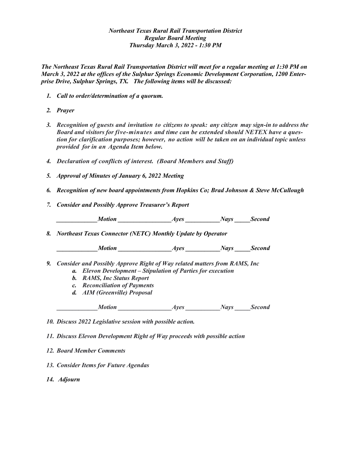## *Northeast Texas Rural Rail Transportation District Regular Board Meeting Thursday March 3, 2022 - 1:30 PM*

*The Northeast Texas Rural Rail Transportation District will meet for a regular meeting at 1:30 PM on March 3, 2022 at the offices of the Sulphur Springs Economic Development Corporation, 1200 Enterprise Drive, Sulphur Springs, TX. The following items will be discussed:*

- *1. Call to order/determination of a quorum.*
- *2. Prayer*
- *3. Recognition of guests and invitation to citizens to speak: any citizen may sign-in to address the Board and visitors for five-minutes and time can be extended should NETEX have a question for clarification purposes; however, no action will be taken on an individual topic unless provided for in an Agenda Item below.*
- *4. Declaration of conflicts of interest. (Board Members and Staff)*
- *5. Approval of Minutes of January 6, 2022 Meeting*
- *6. Recognition of new board appointments from Hopkins Co; Brad Johnson & Steve McCullough*
- *7. Consider and Possibly Approve Treasurer's Report*

*\_\_\_\_\_\_\_\_\_\_\_\_\_Motion \_\_\_\_\_\_\_\_\_\_\_\_\_\_\_\_\_Ayes \_\_\_\_\_\_\_\_\_\_\_Nays \_\_\_\_\_Second*

*8. Northeast Texas Connector (NETC) Monthly Update by Operator*

 *\_\_\_\_\_\_\_\_\_\_\_\_\_Motion \_\_\_\_\_\_\_\_\_\_\_\_\_\_\_\_\_Ayes \_\_\_\_\_\_\_\_\_\_\_Nays \_\_\_\_\_Second*

- *9. Consider and Possibly Approve Right of Way related matters from RAMS, Inc a. Elevon Development – Stipulation of Parties for execution*
	- *b. RAMS, Inc Status Report*
	- *c. Reconciliation of Payments*
	- *d. AIM (Greenville) Proposal*

*Ayes Motion Ayes Mays Second* 

*10. Discuss 2022 Legislative session with possible action.*

*11. Discuss Elevon Development Right of Way proceeds with possible action*

- *12. Board Member Comments*
- *13. Consider Items for Future Agendas*
- *14. Adjourn*